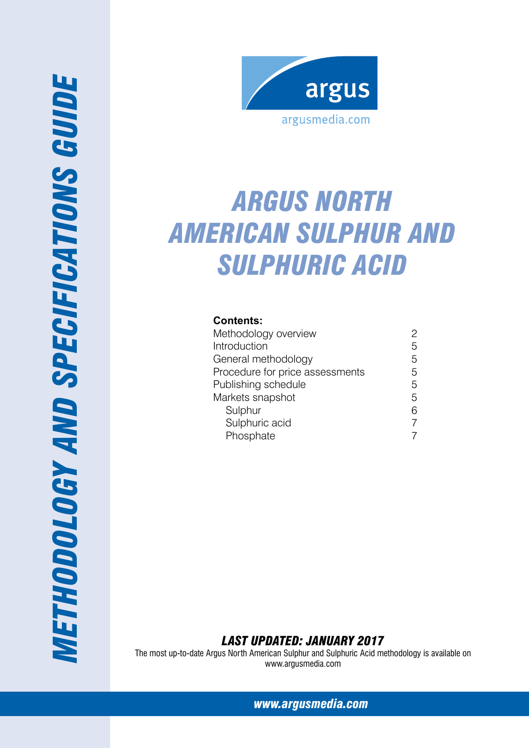

# *ARGUS NORTh AMERICAn Sulphur and sulphuric Acid*

# **Contents:**

| Methodology overview            | 2 |
|---------------------------------|---|
| Introduction                    | 5 |
| General methodology             | 5 |
| Procedure for price assessments | 5 |
| Publishing schedule             | 5 |
| Markets snapshot                | 5 |
| Sulphur                         | 6 |
| Sulphuric acid                  | 7 |
| Phosphate                       | 7 |

*Last Updated: January 2017*

The most up-to-date Argus North American Sulphur and Sulphuric Acid methodology is available on www.argusmedia.com

*[www.argusmedia.com](http://www.argusmediagroup.com)*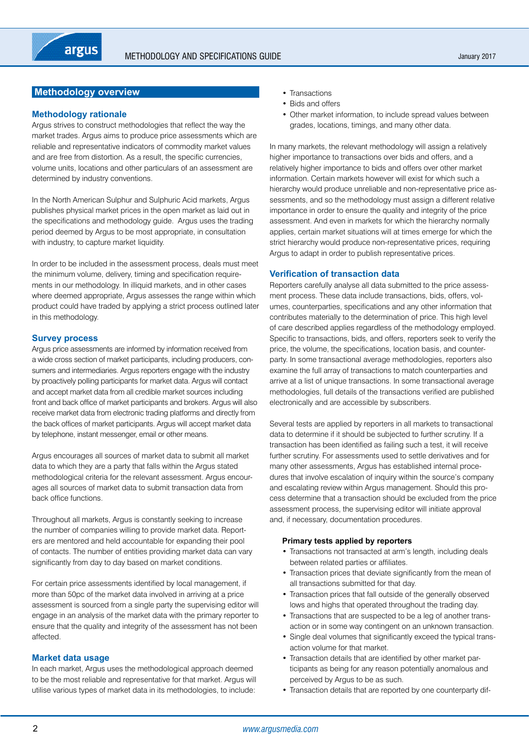# <span id="page-1-0"></span>**Methodology overview**

# **Methodology rationale**

Argus strives to construct methodologies that reflect the way the market trades. Argus aims to produce price assessments which are reliable and representative indicators of commodity market values and are free from distortion. As a result, the specific currencies, volume units, locations and other particulars of an assessment are determined by industry conventions.

In the North American Sulphur and Sulphuric Acid markets, Argus publishes physical market prices in the open market as laid out in the specifications and methodology guide. Argus uses the trading period deemed by Argus to be most appropriate, in consultation with industry, to capture market liquidity.

In order to be included in the assessment process, deals must meet the minimum volume, delivery, timing and specification requirements in our methodology. In illiquid markets, and in other cases where deemed appropriate, Argus assesses the range within which product could have traded by applying a strict process outlined later in this methodology.

# **Survey process**

Argus price assessments are informed by information received from a wide cross section of market participants, including producers, consumers and intermediaries. Argus reporters engage with the industry by proactively polling participants for market data. Argus will contact and accept market data from all credible market sources including front and back office of market participants and brokers. Argus will also receive market data from electronic trading platforms and directly from the back offices of market participants. Argus will accept market data by telephone, instant messenger, email or other means.

Argus encourages all sources of market data to submit all market data to which they are a party that falls within the Argus stated methodological criteria for the relevant assessment. Argus encourages all sources of market data to submit transaction data from back office functions.

Throughout all markets, Argus is constantly seeking to increase the number of companies willing to provide market data. Reporters are mentored and held accountable for expanding their pool of contacts. The number of entities providing market data can vary significantly from day to day based on market conditions.

For certain price assessments identified by local management, if more than 50pc of the market data involved in arriving at a price assessment is sourced from a single party the supervising editor will engage in an analysis of the market data with the primary reporter to ensure that the quality and integrity of the assessment has not been affected.

### **Market data usage**

In each market, Argus uses the methodological approach deemed to be the most reliable and representative for that market. Argus will utilise various types of market data in its methodologies, to include:

- Transactions
- Bids and offers
- Other market information, to include spread values between grades, locations, timings, and many other data.

In many markets, the relevant methodology will assign a relatively higher importance to transactions over bids and offers, and a relatively higher importance to bids and offers over other market information. Certain markets however will exist for which such a hierarchy would produce unreliable and non-representative price assessments, and so the methodology must assign a different relative importance in order to ensure the quality and integrity of the price assessment. And even in markets for which the hierarchy normally applies, certain market situations will at times emerge for which the strict hierarchy would produce non-representative prices, requiring Argus to adapt in order to publish representative prices.

## **Verification of transaction data**

Reporters carefully analyse all data submitted to the price assessment process. These data include transactions, bids, offers, volumes, counterparties, specifications and any other information that contributes materially to the determination of price. This high level of care described applies regardless of the methodology employed. Specific to transactions, bids, and offers, reporters seek to verify the price, the volume, the specifications, location basis, and counterparty. In some transactional average methodologies, reporters also examine the full array of transactions to match counterparties and arrive at a list of unique transactions. In some transactional average methodologies, full details of the transactions verified are published electronically and are accessible by subscribers.

Several tests are applied by reporters in all markets to transactional data to determine if it should be subjected to further scrutiny. If a transaction has been identified as failing such a test, it will receive further scrutiny. For assessments used to settle derivatives and for many other assessments, Argus has established internal procedures that involve escalation of inquiry within the source's company and escalating review within Argus management. Should this process determine that a transaction should be excluded from the price assessment process, the supervising editor will initiate approval and, if necessary, documentation procedures.

### **Primary tests applied by reporters**

- Transactions not transacted at arm's length, including deals between related parties or affiliates.
- • Transaction prices that deviate significantly from the mean of all transactions submitted for that day.
- Transaction prices that fall outside of the generally observed lows and highs that operated throughout the trading day.
- Transactions that are suspected to be a leg of another transaction or in some way contingent on an unknown transaction.
- • Single deal volumes that significantly exceed the typical transaction volume for that market.
- Transaction details that are identified by other market participants as being for any reason potentially anomalous and perceived by Argus to be as such.
- Transaction details that are reported by one counterparty dif-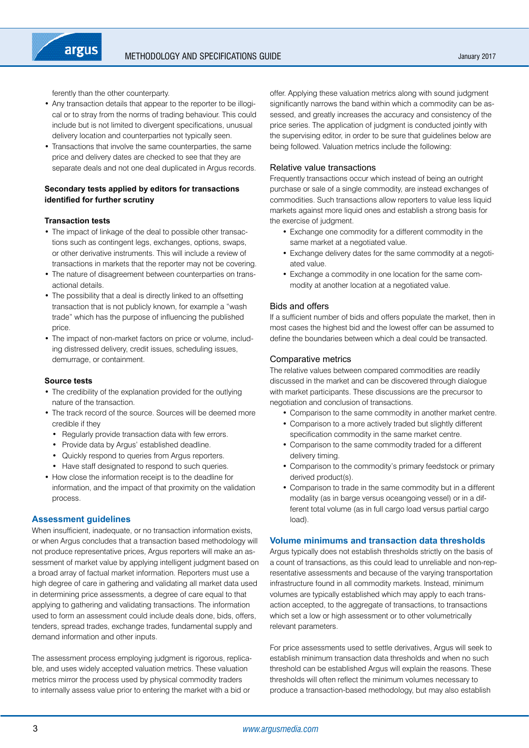ferently than the other counterparty.

- Any transaction details that appear to the reporter to be illogical or to stray from the norms of trading behaviour. This could include but is not limited to divergent specifications, unusual delivery location and counterparties not typically seen.
- Transactions that involve the same counterparties, the same price and delivery dates are checked to see that they are separate deals and not one deal duplicated in Argus records.

# **Secondary tests applied by editors for transactions identified for further scrutiny**

## **Transaction tests**

- The impact of linkage of the deal to possible other transactions such as contingent legs, exchanges, options, swaps, or other derivative instruments. This will include a review of transactions in markets that the reporter may not be covering.
- The nature of disagreement between counterparties on transactional details.
- The possibility that a deal is directly linked to an offsetting transaction that is not publicly known, for example a "wash trade" which has the purpose of influencing the published price.
- The impact of non-market factors on price or volume, including distressed delivery, credit issues, scheduling issues, demurrage, or containment.

### **Source tests**

- The credibility of the explanation provided for the outlying nature of the transaction.
- The track record of the source. Sources will be deemed more credible if they
	- Regularly provide transaction data with few errors.
	- • Provide data by Argus' established deadline.
	- Quickly respond to queries from Argus reporters.
	- Have staff designated to respond to such queries.
- How close the information receipt is to the deadline for information, and the impact of that proximity on the validation process.

# **Assessment guidelines**

When insufficient, inadequate, or no transaction information exists, or when Argus concludes that a transaction based methodology will not produce representative prices, Argus reporters will make an assessment of market value by applying intelligent judgment based on a broad array of factual market information. Reporters must use a high degree of care in gathering and validating all market data used in determining price assessments, a degree of care equal to that applying to gathering and validating transactions. The information used to form an assessment could include deals done, bids, offers, tenders, spread trades, exchange trades, fundamental supply and demand information and other inputs.

The assessment process employing judgment is rigorous, replicable, and uses widely accepted valuation metrics. These valuation metrics mirror the process used by physical commodity traders to internally assess value prior to entering the market with a bid or

offer. Applying these valuation metrics along with sound judgment significantly narrows the band within which a commodity can be assessed, and greatly increases the accuracy and consistency of the price series. The application of judgment is conducted jointly with the supervising editor, in order to be sure that guidelines below are being followed. Valuation metrics include the following:

## Relative value transactions

Frequently transactions occur which instead of being an outright purchase or sale of a single commodity, are instead exchanges of commodities. Such transactions allow reporters to value less liquid markets against more liquid ones and establish a strong basis for the exercise of judgment.

- Exchange one commodity for a different commodity in the same market at a negotiated value.
- Exchange delivery dates for the same commodity at a negotiated value.
- Exchange a commodity in one location for the same commodity at another location at a negotiated value.

# Bids and offers

If a sufficient number of bids and offers populate the market, then in most cases the highest bid and the lowest offer can be assumed to define the boundaries between which a deal could be transacted.

## Comparative metrics

The relative values between compared commodities are readily discussed in the market and can be discovered through dialogue with market participants. These discussions are the precursor to negotiation and conclusion of transactions.

- Comparison to the same commodity in another market centre.
- Comparison to a more actively traded but slightly different specification commodity in the same market centre.
- • Comparison to the same commodity traded for a different delivery timing.
- Comparison to the commodity's primary feedstock or primary derived product(s).
- Comparison to trade in the same commodity but in a different modality (as in barge versus oceangoing vessel) or in a different total volume (as in full cargo load versus partial cargo load).

# **Volume minimums and transaction data thresholds**

Argus typically does not establish thresholds strictly on the basis of a count of transactions, as this could lead to unreliable and non-representative assessments and because of the varying transportation infrastructure found in all commodity markets. Instead, minimum volumes are typically established which may apply to each transaction accepted, to the aggregate of transactions, to transactions which set a low or high assessment or to other volumetrically relevant parameters.

For price assessments used to settle derivatives, Argus will seek to establish minimum transaction data thresholds and when no such threshold can be established Argus will explain the reasons. These thresholds will often reflect the minimum volumes necessary to produce a transaction-based methodology, but may also establish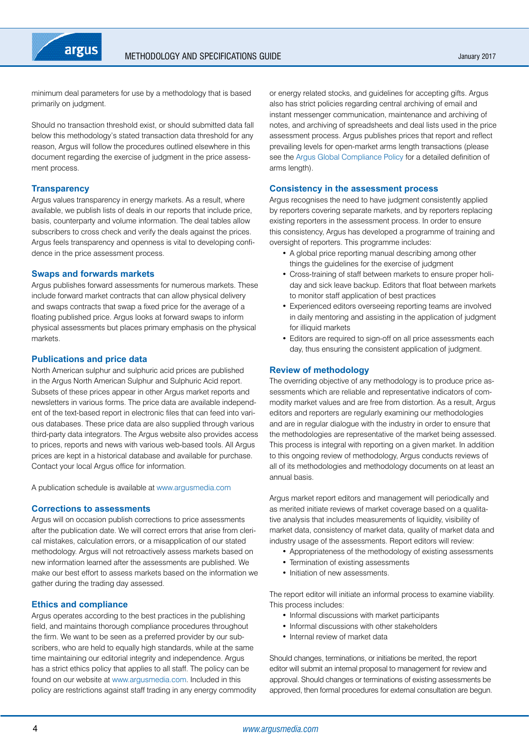

minimum deal parameters for use by a methodology that is based primarily on judgment.

Should no transaction threshold exist, or should submitted data fall below this methodology's stated transaction data threshold for any reason, Argus will follow the procedures outlined elsewhere in this document regarding the exercise of judgment in the price assessment process.

## **Transparency**

Argus values transparency in energy markets. As a result, where available, we publish lists of deals in our reports that include price, basis, counterparty and volume information. The deal tables allow subscribers to cross check and verify the deals against the prices. Argus feels transparency and openness is vital to developing confidence in the price assessment process.

### **Swaps and forwards markets**

Argus publishes forward assessments for numerous markets. These include forward market contracts that can allow physical delivery and swaps contracts that swap a fixed price for the average of a floating published price. Argus looks at forward swaps to inform physical assessments but places primary emphasis on the physical markets.

## **Publications and price data**

North American sulphur and sulphuric acid prices are published in the Argus North American Sulphur and Sulphuric Acid report. Subsets of these prices appear in other Argus market reports and newsletters in various forms. The price data are available independent of the text-based report in electronic files that can feed into various databases. These price data are also supplied through various third-party data integrators. The Argus website also provides access to prices, reports and news with various web-based tools. All Argus prices are kept in a historical database and available for purchase. Contact your local Argus office for information.

A publication schedule is available at<www.argusmedia.com>

### **Corrections to assessments**

Argus will on occasion publish corrections to price assessments after the publication date. We will correct errors that arise from clerical mistakes, calculation errors, or a misapplication of our stated methodology. Argus will not retroactively assess markets based on new information learned after the assessments are published. We make our best effort to assess markets based on the information we gather during the trading day assessed.

### **Ethics and compliance**

Argus operates according to the best practices in the publishing field, and maintains thorough compliance procedures throughout the firm. We want to be seen as a preferred provider by our subscribers, who are held to equally high standards, while at the same time maintaining our editorial integrity and independence. Argus has a strict ethics policy that applies to all staff. The policy can be found on our website at [www.argusmedia.com.](www.argusmedia.com) Included in this policy are restrictions against staff trading in any energy commodity

or energy related stocks, and guidelines for accepting gifts. Argus also has strict policies regarding central archiving of email and instant messenger communication, maintenance and archiving of notes, and archiving of spreadsheets and deal lists used in the price assessment process. Argus publishes prices that report and reflect prevailing levels for open-market arms length transactions (please see the [Argus Global Compliance Policy](http://www.argusmedia.com/about-argus/how-we-work/) for a detailed definition of arms length).

## **Consistency in the assessment process**

Argus recognises the need to have judgment consistently applied by reporters covering separate markets, and by reporters replacing existing reporters in the assessment process. In order to ensure this consistency, Argus has developed a programme of training and oversight of reporters. This programme includes:

- A global price reporting manual describing among other things the guidelines for the exercise of judgment
- • Cross-training of staff between markets to ensure proper holiday and sick leave backup. Editors that float between markets to monitor staff application of best practices
- Experienced editors overseeing reporting teams are involved in daily mentoring and assisting in the application of judgment for illiquid markets
- Editors are required to sign-off on all price assessments each day, thus ensuring the consistent application of judgment.

# **Review of methodology**

The overriding objective of any methodology is to produce price assessments which are reliable and representative indicators of commodity market values and are free from distortion. As a result, Argus editors and reporters are regularly examining our methodologies and are in regular dialogue with the industry in order to ensure that the methodologies are representative of the market being assessed. This process is integral with reporting on a given market. In addition to this ongoing review of methodology, Argus conducts reviews of all of its methodologies and methodology documents on at least an annual basis.

Argus market report editors and management will periodically and as merited initiate reviews of market coverage based on a qualitative analysis that includes measurements of liquidity, visibility of market data, consistency of market data, quality of market data and industry usage of the assessments. Report editors will review:

- Appropriateness of the methodology of existing assessments
- Termination of existing assessments
- Initiation of new assessments.

The report editor will initiate an informal process to examine viability. This process includes:

- • Informal discussions with market participants
- Informal discussions with other stakeholders
- Internal review of market data

Should changes, terminations, or initiations be merited, the report editor will submit an internal proposal to management for review and approval. Should changes or terminations of existing assessments be approved, then formal procedures for external consultation are begun.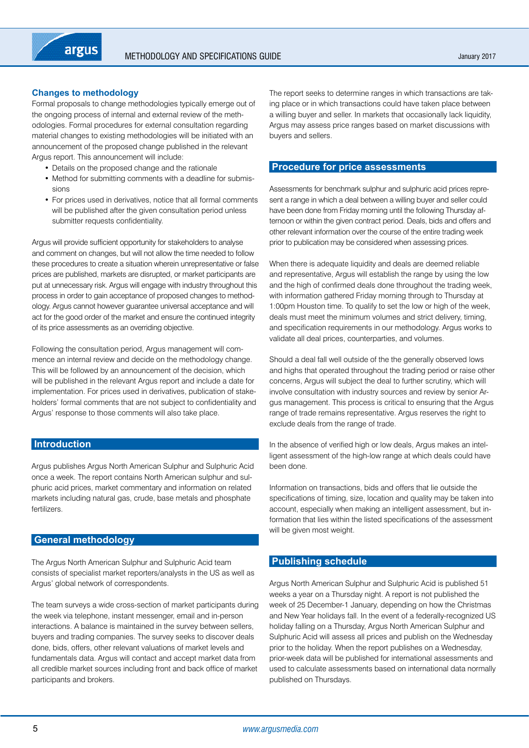# <span id="page-4-0"></span>**Changes to methodology**

Formal proposals to change methodologies typically emerge out of the ongoing process of internal and external review of the methodologies. Formal procedures for external consultation regarding material changes to existing methodologies will be initiated with an announcement of the proposed change published in the relevant Argus report. This announcement will include:

- Details on the proposed change and the rationale
- Method for submitting comments with a deadline for submissions
- For prices used in derivatives, notice that all formal comments will be published after the given consultation period unless submitter requests confidentiality.

Argus will provide sufficient opportunity for stakeholders to analyse and comment on changes, but will not allow the time needed to follow these procedures to create a situation wherein unrepresentative or false prices are published, markets are disrupted, or market participants are put at unnecessary risk. Argus will engage with industry throughout this process in order to gain acceptance of proposed changes to methodology. Argus cannot however guarantee universal acceptance and will act for the good order of the market and ensure the continued integrity of its price assessments as an overriding objective.

Following the consultation period, Argus management will commence an internal review and decide on the methodology change. This will be followed by an announcement of the decision, which will be published in the relevant Argus report and include a date for implementation. For prices used in derivatives, publication of stakeholders' formal comments that are not subject to confidentiality and Argus' response to those comments will also take place.

# **Introduction**

Argus publishes Argus North American Sulphur and Sulphuric Acid once a week. The report contains North American sulphur and sulphuric acid prices, market commentary and information on related markets including natural gas, crude, base metals and phosphate fertilizers.

# **General methodology**

The Argus North American Sulphur and Sulphuric Acid team consists of specialist market reporters/analysts in the US as well as Argus' global network of correspondents.

The team surveys a wide cross-section of market participants during the week via telephone, instant messenger, email and in-person interactions. A balance is maintained in the survey between sellers, buyers and trading companies. The survey seeks to discover deals done, bids, offers, other relevant valuations of market levels and fundamentals data. Argus will contact and accept market data from all credible market sources including front and back office of market participants and brokers.

The report seeks to determine ranges in which transactions are taking place or in which transactions could have taken place between a willing buyer and seller. In markets that occasionally lack liquidity, Argus may assess price ranges based on market discussions with buyers and sellers.

# **Procedure for price assessments**

Assessments for benchmark sulphur and sulphuric acid prices represent a range in which a deal between a willing buyer and seller could have been done from Friday morning until the following Thursday afternoon or within the given contract period. Deals, bids and offers and other relevant information over the course of the entire trading week prior to publication may be considered when assessing prices.

When there is adequate liquidity and deals are deemed reliable and representative, Argus will establish the range by using the low and the high of confirmed deals done throughout the trading week, with information gathered Friday morning through to Thursday at 1:00pm Houston time. To qualify to set the low or high of the week, deals must meet the minimum volumes and strict delivery, timing, and specification requirements in our methodology. Argus works to validate all deal prices, counterparties, and volumes.

Should a deal fall well outside of the the generally observed lows and highs that operated throughout the trading period or raise other concerns, Argus will subject the deal to further scrutiny, which will involve consultation with industry sources and review by senior Argus management. This process is critical to ensuring that the Argus range of trade remains representative. Argus reserves the right to exclude deals from the range of trade.

In the absence of verified high or low deals, Argus makes an intelligent assessment of the high-low range at which deals could have been done.

Information on transactions, bids and offers that lie outside the specifications of timing, size, location and quality may be taken into account, especially when making an intelligent assessment, but information that lies within the listed specifications of the assessment will be given most weight.

# **Publishing schedule**

Argus North American Sulphur and Sulphuric Acid is published 51 weeks a year on a Thursday night. A report is not published the week of 25 December-1 January, depending on how the Christmas and New Year holidays fall. In the event of a federally-recognized US holiday falling on a Thursday, Argus North American Sulphur and Sulphuric Acid will assess all prices and publish on the Wednesday prior to the holiday. When the report publishes on a Wednesday, prior-week data will be published for international assessments and used to calculate assessments based on international data normally published on Thursdays.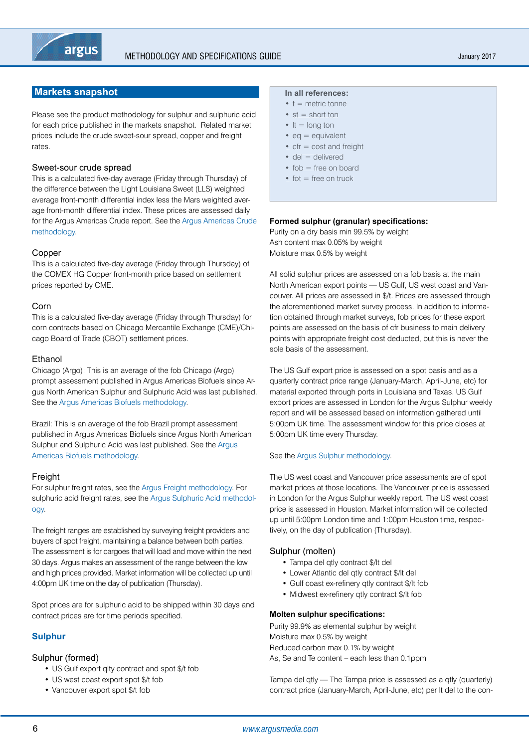# <span id="page-5-0"></span>**Markets snapshot**

Please see the product methodology for sulphur and sulphuric acid for each price published in the markets snapshot. Related market prices include the crude sweet-sour spread, copper and freight rates.

## Sweet-sour crude spread

This is a calculated five-day average (Friday through Thursday) of the difference between the Light Louisiana Sweet (LLS) weighted average front-month differential index less the Mars weighted average front-month differential index. These prices are assessed daily for the Argus Americas Crude report. See the Argus Americas Crude methodology.

# Copper

This is a calculated five-day average (Friday through Thursday) of the COMEX HG Copper front-month price based on settlement prices reported by CME.

# Corn

This is a calculated five-day average (Friday through Thursday) for corn contracts based on Chicago Mercantile Exchange (CME)/Chicago Board of Trade (CBOT) settlement prices.

# Ethanol

Chicago (Argo): This is an average of the fob Chicago (Argo) prompt assessment published in Argus Americas Biofuels since Argus North American Sulphur and Sulphuric Acid was last published. See the Argus Americas Biofuels methodology.

Brazil: This is an average of the fob Brazil prompt assessment published in Argus Americas Biofuels since Argus North American Sulphur and Sulphuric Acid was last published. See the Argus Americas Biofuels methodology.

# **Freight**

For sulphur freight rates, see the Argus Freight methodology. For sulphuric acid freight rates, see the Argus Sulphuric Acid methodology.

The freight ranges are established by surveying freight providers and buyers of spot freight, maintaining a balance between both parties. The assessment is for cargoes that will load and move within the next 30 days. Argus makes an assessment of the range between the low and high prices provided. Market information will be collected up until 4:00pm UK time on the day of publication (Thursday).

Spot prices are for sulphuric acid to be shipped within 30 days and contract prices are for time periods specified.

# **Sulphur**

# Sulphur (formed)

- US Gulf export alty contract and spot \$/t fob
- • US west coast export spot \$/t fob
- Vancouver export spot \$/t fob

### **In all references:**

- $\bullet$   $t =$  metric tonne
- $\bullet$  st = short ton
- $\bullet$  It = long ton
- $eq =$  equivalent
- $\bullet$  cfr = cost and freight
- del = delivered
- $\bullet$  fob = free on board
- $\bullet$  fot = free on truck

# **Formed sulphur (granular) specifications:**

Purity on a dry basis min 99.5% by weight Ash content max 0.05% by weight Moisture max 0.5% by weight

All solid sulphur prices are assessed on a fob basis at the main North American export points — US Gulf, US west coast and Vancouver. All prices are assessed in \$/t. Prices are assessed through the aforementioned market survey process. In addition to information obtained through market surveys, fob prices for these export points are assessed on the basis of cfr business to main delivery points with appropriate freight cost deducted, but this is never the sole basis of the assessment.

The US Gulf export price is assessed on a spot basis and as a quarterly contract price range (January-March, April-June, etc) for material exported through ports in Louisiana and Texas. US Gulf export prices are assessed in London for the Argus Sulphur weekly report and will be assessed based on information gathered until 5:00pm UK time. The assessment window for this price closes at 5:00pm UK time every Thursday.

## See the Argus Sulphur methodology.

The US west coast and Vancouver price assessments are of spot market prices at those locations. The Vancouver price is assessed in London for the Argus Sulphur weekly report. The US west coast price is assessed in Houston. Market information will be collected up until 5:00pm London time and 1:00pm Houston time, respectively, on the day of publication (Thursday).

# Sulphur (molten)

- • Tampa del qtly contract \$/lt del
- • Lower Atlantic del qtly contract \$/lt del
- • Gulf coast ex-refinery qtly contract \$/lt fob
- Midwest ex-refinery qtly contract \$/lt fob

### **Molten sulphur specifications:**

Purity 99.9% as elemental sulphur by weight Moisture max 0.5% by weight Reduced carbon max 0.1% by weight As, Se and Te content – each less than 0.1ppm

Tampa del qtly — The Tampa price is assessed as a qtly (quarterly) contract price (January-March, April-June, etc) per lt del to the con-